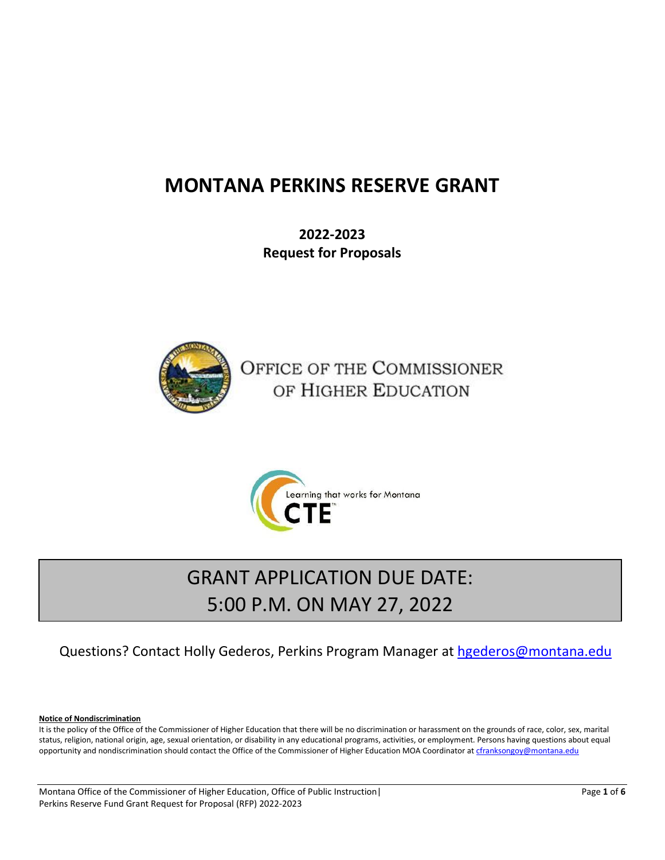# **MONTANA PERKINS RESERVE GRANT**

**2022-2023 Request for Proposals**



OFFICE OF THE COMMISSIONER OF HIGHER EDUCATION



# GRANT APPLICATION DUE DATE: 5:00 P.M. ON MAY 27, 2022

## Questions? Contact Holly Gederos, Perkins Program Manager at [hgederos@montana.edu](mailto:hgederos@montana.edu/)

**Notice of Nondiscrimination**

It is the policy of the Office of the Commissioner of Higher Education that there will be no discrimination or harassment on the grounds of race, color, sex, marital status, religion, national origin, age, sexual orientation, or disability in any educational programs, activities, or employment. Persons having questions about equal opportunity and nondiscrimination should contact the Office of the Commissioner of Higher Education MOA Coordinator a[t cfranksongoy@montana.edu](mailto:cfranksongoy@montana.edu)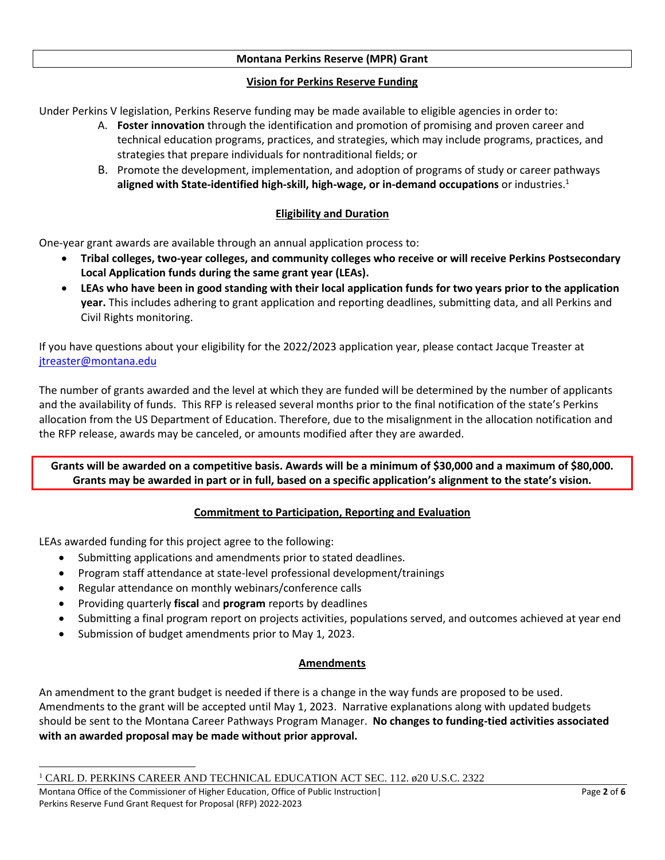#### **Montana Perkins Reserve (MPR) Grant**

#### **Vision for Perkins Reserve Funding**

Under Perkins V legislation, Perkins Reserve funding may be made available to eligible agencies in order to:

- A. **Foster innovation** through the identification and promotion of promising and proven career and technical education programs, practices, and strategies, which may include programs, practices, and strategies that prepare individuals for nontraditional fields; or
- B. Promote the development, implementation, and adoption of programs of study or career pathways **aligned with State-identified high-skill, high-wage, or in-demand occupations** or industries.<sup>1</sup>

#### **Eligibility and Duration**

One-year grant awards are available through an annual application process to:

- **Tribal colleges, two-year colleges, and community colleges who receive or will receive Perkins Postsecondary Local Application funds during the same grant year (LEAs).**
- **LEAs who have been in good standing with their local application funds for two years prior to the application year.** This includes adhering to grant application and reporting deadlines, submitting data, and all Perkins and Civil Rights monitoring.

If you have questions about your eligibility for the 2022/2023 application year, please contact Jacque Treaster at [jtreaster@montana.edu](mailto:jtreaster@montana.edu)

The number of grants awarded and the level at which they are funded will be determined by the number of applicants and the availability of funds. This RFP is released several months prior to the final notification of the state's Perkins allocation from the US Department of Education. Therefore, due to the misalignment in the allocation notification and the RFP release, awards may be canceled, or amounts modified after they are awarded.

**Grants will be awarded on a competitive basis. Awards will be a minimum of \$30,000 and a maximum of \$80,000. Grants may be awarded in part or in full, based on a specific application's alignment to the state's vision.**

#### **Commitment to Participation, Reporting and Evaluation**

LEAs awarded funding for this project agree to the following:

- Submitting applications and amendments prior to stated deadlines.
- Program staff attendance at state-level professional development/trainings
- Regular attendance on monthly webinars/conference calls
- Providing quarterly **fiscal** and **program** reports by deadlines
- Submitting a final program report on projects activities, populations served, and outcomes achieved at year end
- Submission of budget amendments prior to May 1, 2023.

#### **Amendments**

An amendment to the grant budget is needed if there is a change in the way funds are proposed to be used. Amendments to the grant will be accepted until May 1, 2023. Narrative explanations along with updated budgets should be sent to the Montana Career Pathways Program Manager. **No changes to funding-tied activities associated with an awarded proposal may be made without prior approval.**

<sup>1</sup> CARL D. PERKINS CAREER AND TECHNICAL EDUCATION ACT SEC. 112. ø20 U.S.C. 2322

Montana Office of the Commissioner of Higher Education, Office of Public Instruction| Page 2 of 6 Perkins Reserve Fund Grant Request for Proposal (RFP) 2022-2023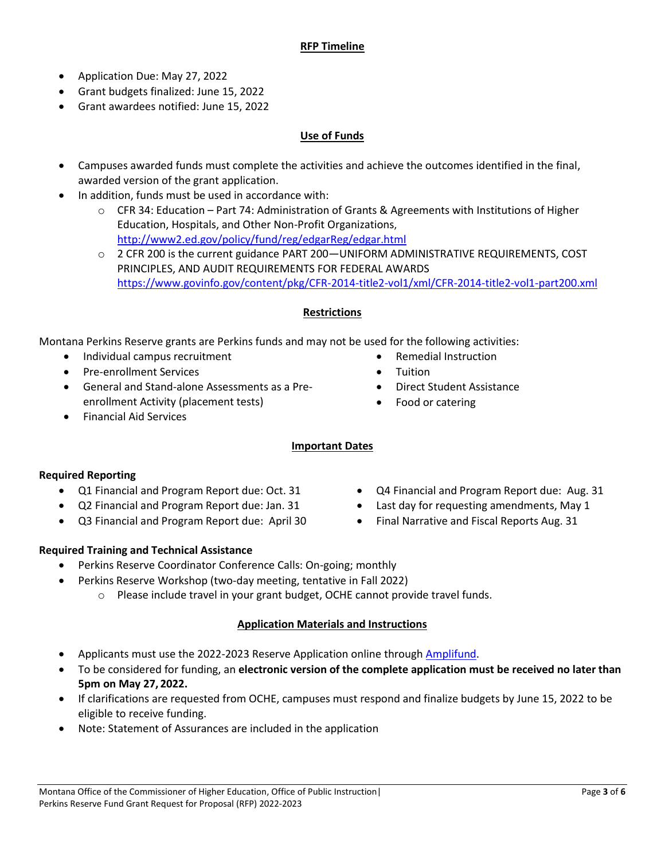#### **RFP Timeline**

- Application Due: May 27, 2022
- Grant budgets finalized: June 15, 2022
- Grant awardees notified: June 15, 2022

#### **Use of Funds**

- Campuses awarded funds must complete the activities and achieve the outcomes identified in the final, awarded version of the grant application.
- In addition, funds must be used in accordance with:
	- $\circ$  CFR 34: Education Part 74: Administration of Grants & Agreements with Institutions of Higher Education, Hospitals, and Other Non-Profit Organizations, <http://www2.ed.gov/policy/fund/reg/edgarReg/edgar.html>
	- o 2 CFR 200 is the current guidance PART 200—UNIFORM ADMINISTRATIVE REQUIREMENTS, COST PRINCIPLES, AND AUDIT REQUIREMENTS FOR FEDERAL AWARDS <https://www.govinfo.gov/content/pkg/CFR-2014-title2-vol1/xml/CFR-2014-title2-vol1-part200.xml>

#### **Restrictions**

Montana Perkins Reserve grants are Perkins funds and may not be used for the following activities:

- Individual campus recruitment
- Pre-enrollment Services
- General and Stand-alone Assessments as a Preenrollment Activity (placement tests)
- Financial Aid Services

#### **Important Dates**

#### **Required Reporting**

- Q1 Financial and Program Report due: Oct. 31
- Q2 Financial and Program Report due: Jan. 31
- Q3 Financial and Program Report due: April 30
- Q4 Financial and Program Report due: Aug. 31
- Last day for requesting amendments, May 1
- Final Narrative and Fiscal Reports Aug. 31

• Remedial Instruction

• Food or catering

• Direct Student Assistance

**Tuition** 

#### **Required Training and Technical Assistance**

- Perkins Reserve Coordinator Conference Calls: On-going; monthly
- Perkins Reserve Workshop (two-day meeting, tentative in Fall 2022)
	- o Please include travel in your grant budget, OCHE cannot provide travel funds.

#### **Application Materials and Instructions**

- Applicants must use the 2022-2023 Reserve Application online through [Amplifund.](https://www.gotomygrants.com/Public/Opportunities/Details/2b930bec-dc7f-439f-8cde-856eff1637a7)
- To be considered for funding, an **electronic version of the complete application must be received no later than 5pm on May 27, 2022.**
- If clarifications are requested from OCHE, campuses must respond and finalize budgets by June 15, 2022 to be eligible to receive funding.
- Note: Statement of Assurances are included in the application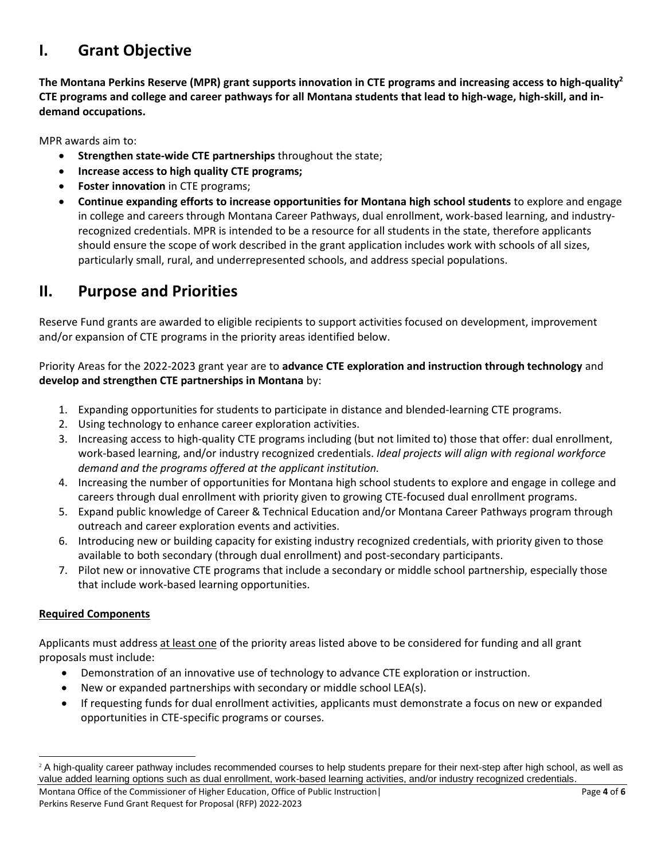# **I. Grant Objective**

**The Montana Perkins Reserve (MPR) grant supports innovation in CTE programs and increasing access to high-quality<sup>2</sup> CTE programs and college and career pathways for all Montana students that lead to high-wage, high-skill, and indemand occupations.** 

MPR awards aim to:

- **Strengthen state-wide CTE partnerships** throughout the state;
- **Increase access to high quality CTE programs;**
- **Foster innovation** in CTE programs;
- **Continue expanding efforts to increase opportunities for Montana high school students** to explore and engage in college and careers through Montana Career Pathways, dual enrollment, work-based learning, and industryrecognized credentials. MPR is intended to be a resource for all students in the state, therefore applicants should ensure the scope of work described in the grant application includes work with schools of all sizes, particularly small, rural, and underrepresented schools, and address special populations.

### **II. Purpose and Priorities**

Reserve Fund grants are awarded to eligible recipients to support activities focused on development, improvement and/or expansion of CTE programs in the priority areas identified below.

Priority Areas for the 2022-2023 grant year are to **advance CTE exploration and instruction through technology** and **develop and strengthen CTE partnerships in Montana** by:

- 1. Expanding opportunities for students to participate in distance and blended-learning CTE programs.
- 2. Using technology to enhance career exploration activities.
- 3. Increasing access to high-quality CTE programs including (but not limited to) those that offer: dual enrollment, work-based learning, and/or industry recognized credentials. *Ideal projects will align with regional workforce demand and the programs offered at the applicant institution.*
- 4. Increasing the number of opportunities for Montana high school students to explore and engage in college and careers through dual enrollment with priority given to growing CTE-focused dual enrollment programs.
- 5. Expand public knowledge of Career & Technical Education and/or Montana Career Pathways program through outreach and career exploration events and activities.
- 6. Introducing new or building capacity for existing industry recognized credentials, with priority given to those available to both secondary (through dual enrollment) and post-secondary participants.
- 7. Pilot new or innovative CTE programs that include a secondary or middle school partnership, especially those that include work-based learning opportunities.

#### **Required Components**

Applicants must address at least one of the priority areas listed above to be considered for funding and all grant proposals must include:

- Demonstration of an innovative use of technology to advance CTE exploration or instruction.
- New or expanded partnerships with secondary or middle school LEA(s).
- If requesting funds for dual enrollment activities, applicants must demonstrate a focus on new or expanded opportunities in CTE-specific programs or courses.

<sup>&</sup>lt;sup>2</sup> A high-quality career pathway includes recommended courses to help students prepare for their next-step after high school, as well as value added learning options such as dual enrollment, work-based learning activities, and/or industry recognized credentials.

Montana Office of the Commissioner of Higher Education, Office of Public Instruction| Page 4 of 6 Perkins Reserve Fund Grant Request for Proposal (RFP) 2022-2023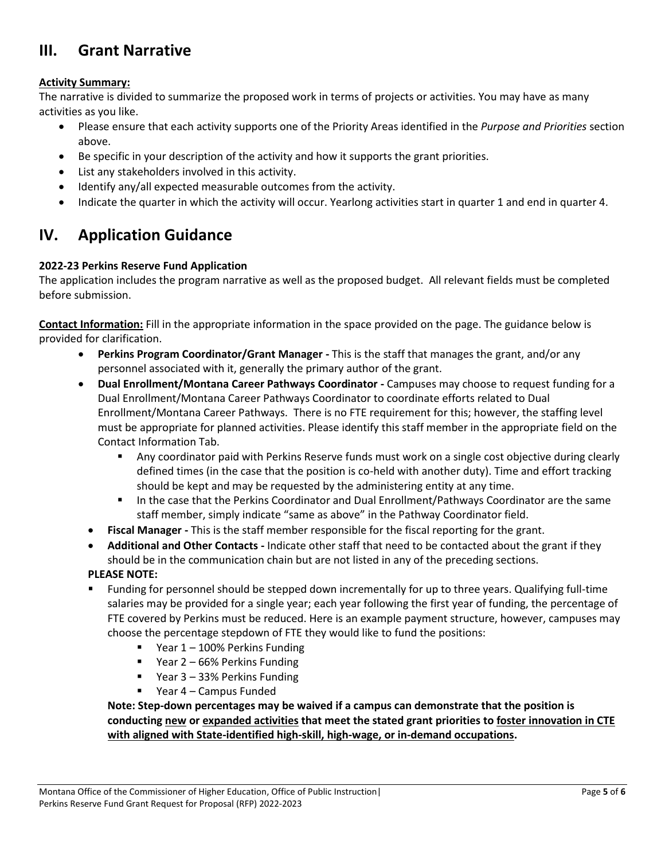## **III. Grant Narrative**

#### **Activity Summary:**

The narrative is divided to summarize the proposed work in terms of projects or activities. You may have as many activities as you like.

- Please ensure that each activity supports one of the Priority Areas identified in the *Purpose and Priorities* section above.
- Be specific in your description of the activity and how it supports the grant priorities.
- List any stakeholders involved in this activity.
- Identify any/all expected measurable outcomes from the activity.
- Indicate the quarter in which the activity will occur. Yearlong activities start in quarter 1 and end in quarter 4.

### **IV. Application Guidance**

#### **2022-23 Perkins Reserve Fund Application**

The application includes the program narrative as well as the proposed budget. All relevant fields must be completed before submission.

**Contact Information:** Fill in the appropriate information in the space provided on the page. The guidance below is provided for clarification.

- **Perkins Program Coordinator/Grant Manager -** This is the staff that manages the grant, and/or any personnel associated with it, generally the primary author of the grant.
- **Dual Enrollment/Montana Career Pathways Coordinator -** Campuses may choose to request funding for a Dual Enrollment/Montana Career Pathways Coordinator to coordinate efforts related to Dual Enrollment/Montana Career Pathways. There is no FTE requirement for this; however, the staffing level must be appropriate for planned activities. Please identify this staff member in the appropriate field on the Contact Information Tab.
	- Any coordinator paid with Perkins Reserve funds must work on a single cost objective during clearly defined times (in the case that the position is co-held with another duty). Time and effort tracking should be kept and may be requested by the administering entity at any time.
	- **■** In the case that the Perkins Coordinator and Dual Enrollment/Pathways Coordinator are the same staff member, simply indicate "same as above" in the Pathway Coordinator field.
	- **Fiscal Manager -** This is the staff member responsible for the fiscal reporting for the grant.
	- **Additional and Other Contacts -** Indicate other staff that need to be contacted about the grant if they should be in the communication chain but are not listed in any of the preceding sections.

**PLEASE NOTE:**

- Funding for personnel should be stepped down incrementally for up to three years. Qualifying full-time salaries may be provided for a single year; each year following the first year of funding, the percentage of FTE covered by Perkins must be reduced. Here is an example payment structure, however, campuses may choose the percentage stepdown of FTE they would like to fund the positions:
	- Year 1 100% Perkins Funding
	- Year 2 66% Perkins Funding
	- Year 3 33% Perkins Funding
	- Year 4 Campus Funded

**Note: Step-down percentages may be waived if a campus can demonstrate that the position is conducting new or expanded activities that meet the stated grant priorities to foster innovation in CTE with aligned with State-identified high-skill, high-wage, or in-demand occupations.**